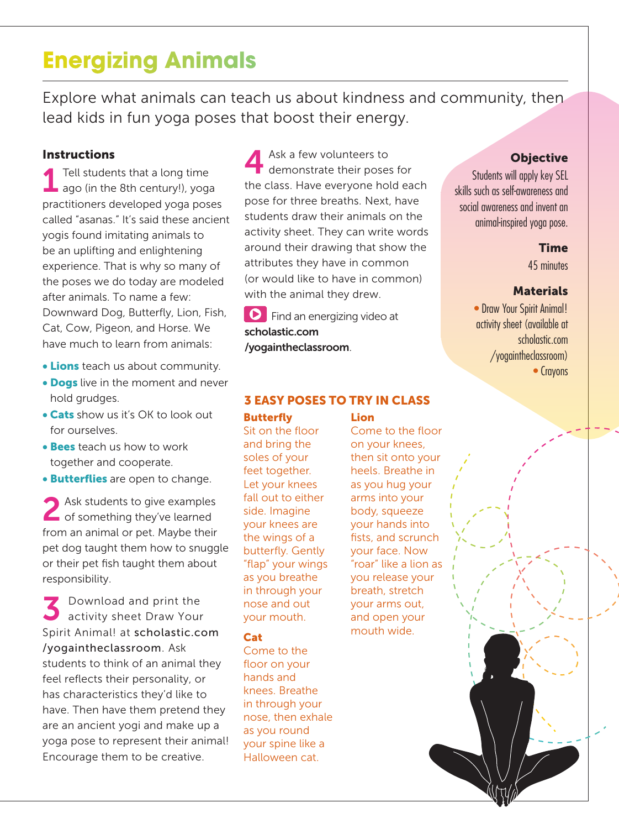## **Energizing Animals**

Explore what animals can teach us about kindness and community, then lead kids in fun yoga poses that boost their energy.

#### **Instructions**

1 Tell students that a long time ago (in the 8th century!), yoga practitioners developed yoga poses called "asanas." It's said these ancient yogis found imitating animals to be an uplifting and enlightening experience. That is why so many of the poses we do today are modeled after animals. To name a few: Downward Dog, Butterfly, Lion, Fish, Cat, Cow, Pigeon, and Horse. We have much to learn from animals:

- **Lions** teach us about community.
- Dogs live in the moment and never hold grudges.
- Cats show us it's OK to look out for ourselves.
- Bees teach us how to work together and cooperate.
- **Butterflies** are open to change.

Ask students to give examples of something they've learned from an animal or pet. Maybe their pet dog taught them how to snuggle or their pet fish taught them about responsibility.

S Download and print the<br>
S activity sheet Draw Your Spirit Animal! at scholastic.com /yogaintheclassroom. Ask students to think of an animal they feel reflects their personality, or has characteristics they'd like to have. Then have them pretend they are an ancient yogi and make up a yoga pose to represent their animal! Encourage them to be creative.

Ask a few volunteers to<br>
demonstrate their poses for the class. Have everyone hold each pose for three breaths. Next, have students draw their animals on the activity sheet. They can write words around their drawing that show the attributes they have in common (or would like to have in common) with the animal they drew.

Find an energizing video at scholastic.com /yogaintheclassroom.

#### Butterfly Lion 3 EASY POSES TO TRY IN CLASS

Sit on the floor and bring the soles of your feet together. Let your knees fall out to either side. Imagine your knees are the wings of a butterfly. Gently "flap" your wings as you breathe in through your nose and out your mouth.

#### Cat

Come to the floor on your hands and knees. Breathe in through your nose, then exhale as you round your spine like a Halloween cat.

Come to the floor on your knees, then sit onto your heels. Breathe in as you hug your arms into your body, squeeze your hands into fists, and scrunch your face. Now "roar" like a lion as you release your breath, stretch your arms out, and open your mouth wide.

### **Objective**

Students will apply key SEL skills such as self-awareness and social awareness and invent an animal-inspired yoga pose.

#### **Time**

45 minutes

#### **Materials**

• Draw Your Spirit Animal! activity sheet (available at scholastic.com /yogaintheclassroom) • Crayons